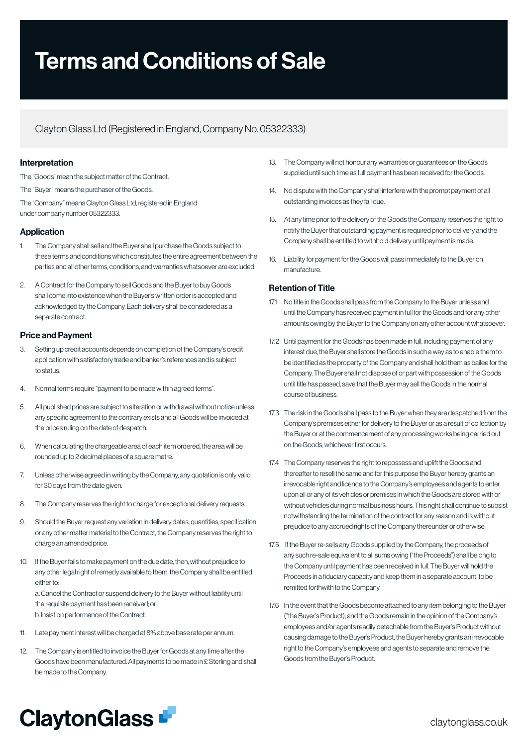# Terms and Conditions of Sale

# Clayton Glass Ltd (Registered in England, Company No. 05322333)

## Interpretation

The "Goods" mean the subject matter of the Contract. The "Buyer" means the purchaser of the Goods. The "Company" means Clayton Glass Ltd, registered in England under company number 05322333.

# Application

- 1. The Company shall sell and the Buyer shall purchase the Goods subject to these terms and conditions which constitutes the entire agreement between the parties and all other terms, conditions, and warranties whatsoever are excluded.
- 2. A Contract for the Company to sell Goods and the Buyer to buy Goods shall come into existence when the Buyer's written order is accepted and acknowledged by the Company. Each delivery shall be considered as a separate contract.

# Price and Payment

- 3. Setting up credit accounts depends on completion of the Company's credit application with satisfactory trade and banker's references and is subject to status.
- 4. Normal terms require "payment to be made within agreed terms".
- 5. All published prices are subject to alteration or withdrawal without notice unless any specific agreement to the contrary exists and all Goods will be invoiced at the prices ruling on the date of despatch.
- 6. When calculating the chargeable area of each item ordered, the area will be rounded up to 2 decimal places of a square metre.
- 7. Unless otherwise agreed in writing by the Company, any quotation is only valid for 30 days from the date given.
- 8. The Company reserves the right to charge for exceptional delivery requests.
- 9. Should the Buyer request any variation in delivery dates, quantities, specification or any other matter material to the Contract, the Company reserves the right to charge an amended price.
- 10. If the Buyer fails to make payment on the due date, then, without prejudice to any other legal right of remedy available to them, the Company shall be entitled either to: a. Cancel the Contract or suspend delivery to the Buyer without liability until

the requisite payment has been received; or b. Insist on performance of the Contract.

- 11. Late payment interest will be charged at 8% above base rate per annum.
- 12. The Company is entitled to invoice the Buyer for Goods at any time after the Goods have been manufactured. All payments to be made in £ Sterling and shall be made to the Company.
- 13. The Company will not honour any warranties or guarantees on the Goods supplied until such time as full payment has been received for the Goods.
- 14. No dispute with the Company shall interfere with the prompt payment of all outstanding invoices as they fall due.
- 15. At any time prior to the delivery of the Goods the Company reserves the right to notify the Buyer that outstanding payment is required prior to delivery and the Company shall be entitled to withhold delivery until payment is made.
- 16. Liability for payment for the Goods will pass immediately to the Buyer on manufacture.

# Retention of Title

- 17.1 No title in the Goods shall pass from the Company to the Buyer unless and until the Company has received payment in full for the Goods and for any other amounts owing by the Buyer to the Company on any other account whatsoever.
- 17.2 Until payment for the Goods has been made in full, including payment of any interest due, the Buyer shall store the Goods in such a way as to enable them to be identified as the property of the Company and shall hold them as bailee for the Company. The Buyer shall not dispose of or part with possession of the Goods until title has passed, save that the Buyer may sell the Goods in the normal course of business.
- 17.3 The risk in the Goods shall pass to the Buyer when they are despatched from the Company's premises either for delivery to the Buyer or as a result of collection by the Buyer or at the commencement of any processing works being carried out on the Goods, whichever first occurs.
- 17.4 The Company reserves the right to repossess and uplift the Goods and thereafter to resell the same and for this purpose the Buyer hereby grants an irrevocable right and licence to the Company's employees and agents to enter upon all or any of its vehicles or premises in which the Goods are stored with or without vehicles during normal business hours. This right shall continue to subsist notwithstanding the termination of the contract for any reason and is without prejudice to any accrued rights of the Company thereunder or otherwise.
- 17.5 If the Buyer re-sells any Goods supplied by the Company, the proceeds of any such re-sale equivalent to all sums owing ("the Proceeds") shall belong to the Company until payment has been received in full. The Buyer will hold the Proceeds in a fiduciary capacity and keep them in a separate account, to be remitted forthwith to the Company.
- 17.6 In the event that the Goods become attached to any item belonging to the Buyer ("the Buyer's Product), and the Goods remain in the opinion of the Company's employees and/or agents readily detachable from the Buyer's Product without causing damage to the Buyer's Product, the Buyer hereby grants an irrevocable right to the Company's employees and agents to separate and remove the Goods from the Buyer's Product.

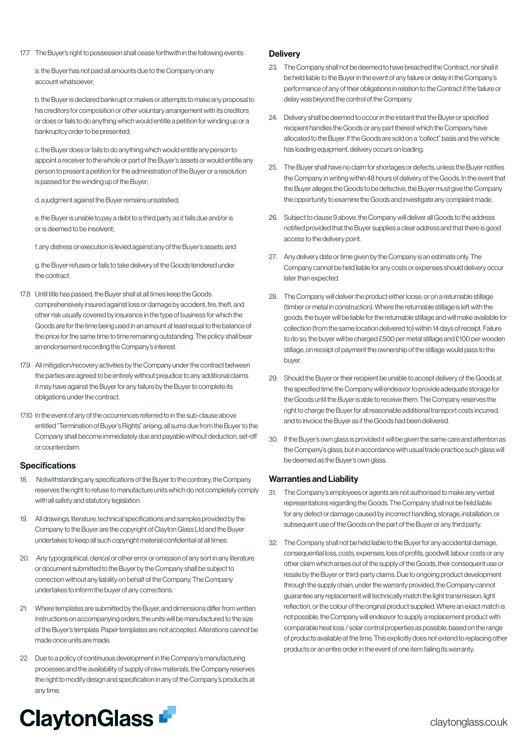17.7 The Buyer's right to possession shall cease forthwith in the following events:

a. the Buyer has not paid all amounts due to the Company on any account whatsoever;

b. the Buyer is declared bankrupt or makes or attempts to make any proposal to his creditors for composition or other voluntary arrangement with its creditors or does or fails to do anything which would entitle a petition for winding up or a bankruptcy order to be presented;

c. the Buyer does or fails to do anything which would entitle any person to appoint a receiver to the whole or part of the Buyer's assets or would entitle any person to present a petition for the administration of the Buyer or a resolution is passed for the winding up of the Buyer;

d. a judgment against the Buyer remains unsatisfied;

e. the Buyer is unable to pay a debt to a third party as it falls due and/or is or is deemed to be insolvent;

f. any distress or execution is levied against any of the Buyer's assets; and

g. the Buyer refuses or fails to take delivery of the Goods tendered under the contract.

- 17.8 Until title has passed, the Buyer shall at all times keep the Goods comprehensively insured against loss or damage by accident, fire, theft, and other risk usually covered by insurance in the type of business for which the Goods are for the time being used in an amount at least equal to the balance of the price for the same time to time remaining outstanding. The policy shall bear an endorsement recording the Company's interest.
- 17.9 All mitigation/recovery activities by the Company under the contract between the parties are agreed to be entirely without prejudice to any additional claims it may have against the Buyer for any failure by the Buyer to complete its obligations under the contract.
- 17.10 In the event of any of the occurrences referred to in the sub-clause above entitled "Termination of Buyer's Rights" arising, all sums due from the Buyer to the Company shall become immediately due and payable without deduction, set-off or counterclaim.

## **Specifications**

- 18. Notwithstanding any specifications of the Buyer to the contrary, the Company reserves the right to refuse to manufacture units which do not completely comply with all safety and statutory legislation.
- 19. All drawings, literature, technical specifications and samples provided by the Company to the Buyer are the copyright of Clayton Glass Ltd and the Buyer undertakes to keep all such copyright material confidential at all times.
- 20. Any typographical, clerical or other error or omission of any sort in any literature or document submitted to the Buyer by the Company shall be subject to correction without any liability on behalf of the Company. The Company undertakes to inform the buyer of any corrections.
- 21. Where templates are submitted by the Buyer, and dimensions differ from written instructions on accompanying orders, the units will be manufactured to the size of the Buyer's template. Paper templates are not accepted. Alterations cannot be made once units are made.
- 22. Due to a policy of continuous development in the Company's manufacturing processes and the availability of supply of raw materials, the Company reserves the right to modify design and specification in any of the Company's products at any time.

#### **Delivery**

- 23. The Company shall not be deemed to have breached the Contract, nor shall it be held liable to the Buyer in the event of any failure or delay in the Company's performance of any of their obligations in relation to the Contract if the failure or delay was beyond the control of the Company.
- 24. Delivery shall be deemed to occur in the instant that the Buyer or specified recipient handles the Goods or any part thereof which the Company have allocated to the Buyer. If the Goods are sold on a "collect" basis and the vehicle has loading equipment, delivery occurs on loading.
- 25. The Buyer shall have no claim for shortages or defects, unless the Buyer notifies the Company in writing within 48 hours of delivery of the Goods. In the event that the Buyer alleges the Goods to be defective, the Buyer must give the Company the opportunity to examine the Goods and investigate any complaint made.
- 26. Subject to clause 9 above, the Company will deliver all Goods to the address notified provided that the Buyer supplies a clear address and that there is good access to the delivery point.
- 27. Any delivery date or time given by the Company is an estimate only. The Company cannot be held liable for any costs or expenses should delivery occur later than expected.
- 28. The Company will deliver the product either loose, or on a returnable stillage (timber or metal in construction). Where the returnable stillage is left with the goods, the buyer will be liable for the returnable stillage and will make available for collection (from the same location delivered to) within 14 days of receipt. Failure to do so, the buyer will be charged £500 per metal stillage and £100 per wooden stillage, on receipt of payment the ownership of the stillage would pass to the buyer.
- 29. Should the Buyer or their recipient be unable to accept delivery of the Goods at the specified time the Company will endeavor to provide adequate storage for the Goods until the Buyer is able to receive them. The Company reserves the right to charge the Buyer for all reasonable additional transport costs incurred, and to invoice the Buyer as if the Goods had been delivered.
- 30. If the Buyer's own glass is provided it will be given the same care and attention as the Company's glass, but in accordance with usual trade practice such glass will be deemed as the Buyer's own glass.

#### Warranties and Liability

- 31. The Company's employees or agents are not authorised to make any verbal representations regarding the Goods. The Company shall not be held liable for any defect or damage caused by incorrect handling, storage, installation, or subsequent use of the Goods on the part of the Buyer or any third party.
- 32. The Company shall not be held liable to the Buyer for any accidental damage, consequential loss, costs, expenses, loss of profits, goodwill, labour costs or any other claim which arises out of the supply of the Goods, their consequent use or resale by the Buyer or third-party claims. Due to ongoing product development through the supply chain, under the warranty provided, the Company cannot guarantee any replacement will technically match the light transmission, light reflection, or the colour of the original product supplied. Where an exact match is not possible, the Company will endeavor to supply a replacement product with comparable heat loss / solar control properties as possible, based on the range of products available at the time. This explicitly does not extend to replacing other products or an entire order in the event of one item failing its warranty.